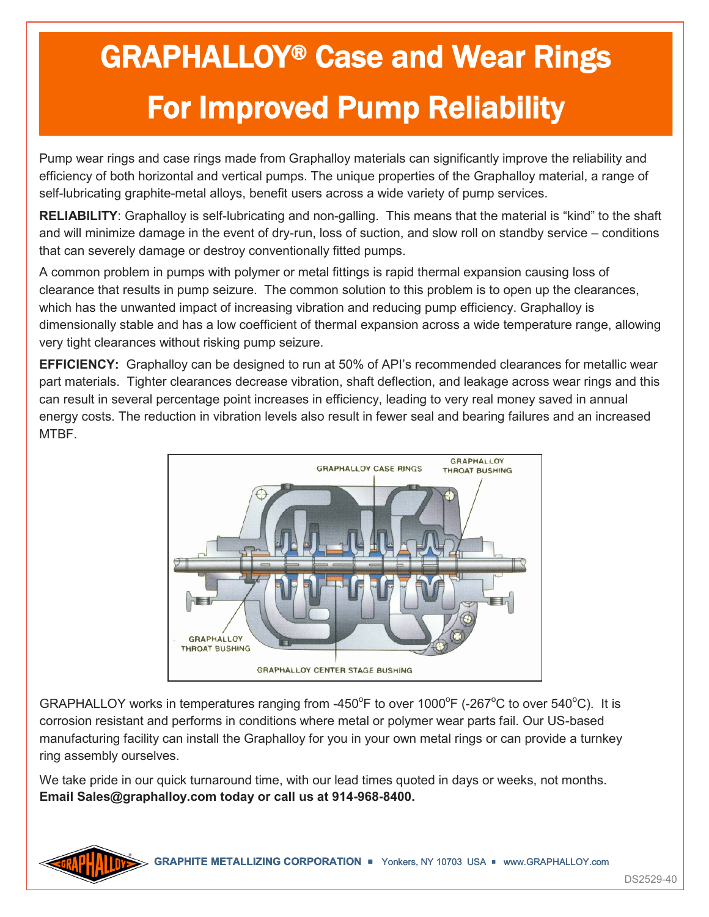## GRAPHALLOY® Case and Wear Rings For Improved Pump Reliability

Pump wear rings and case rings made from Graphalloy materials can significantly improve the reliability and efficiency of both horizontal and vertical pumps. The unique properties of the Graphalloy material, a range of self-lubricating graphite-metal alloys, benefit users across a wide variety of pump services.

**RELIABILITY**: Graphalloy is self-lubricating and non-galling. This means that the material is "kind" to the shaft and will minimize damage in the event of dry-run, loss of suction, and slow roll on standby service – conditions that can severely damage or destroy conventionally fitted pumps.

A common problem in pumps with polymer or metal fittings is rapid thermal expansion causing loss of clearance that results in pump seizure. The common solution to this problem is to open up the clearances, which has the unwanted impact of increasing vibration and reducing pump efficiency. Graphalloy is dimensionally stable and has a low coefficient of thermal expansion across a wide temperature range, allowing very tight clearances without risking pump seizure.

**EFFICIENCY:** Graphalloy can be designed to run at 50% of API's recommended clearances for metallic wear part materials. Tighter clearances decrease vibration, shaft deflection, and leakage across wear rings and this can result in several percentage point increases in efficiency, leading to very real money saved in annual energy costs. The reduction in vibration levels also result in fewer seal and bearing failures and an increased MTBF.



GRAPHALLOY works in temperatures ranging from -450°F to over 1000°F (-267°C to over 540°C). It is corrosion resistant and performs in conditions where metal or polymer wear parts fail. Our US-based manufacturing facility can install the Graphalloy for you in your own metal rings or can provide a turnkey ring assembly ourselves.

We take pride in our quick turnaround time, with our lead times quoted in days or weeks, not months. **Email Sales@graphalloy.com today or call us at 914-968-8400.**